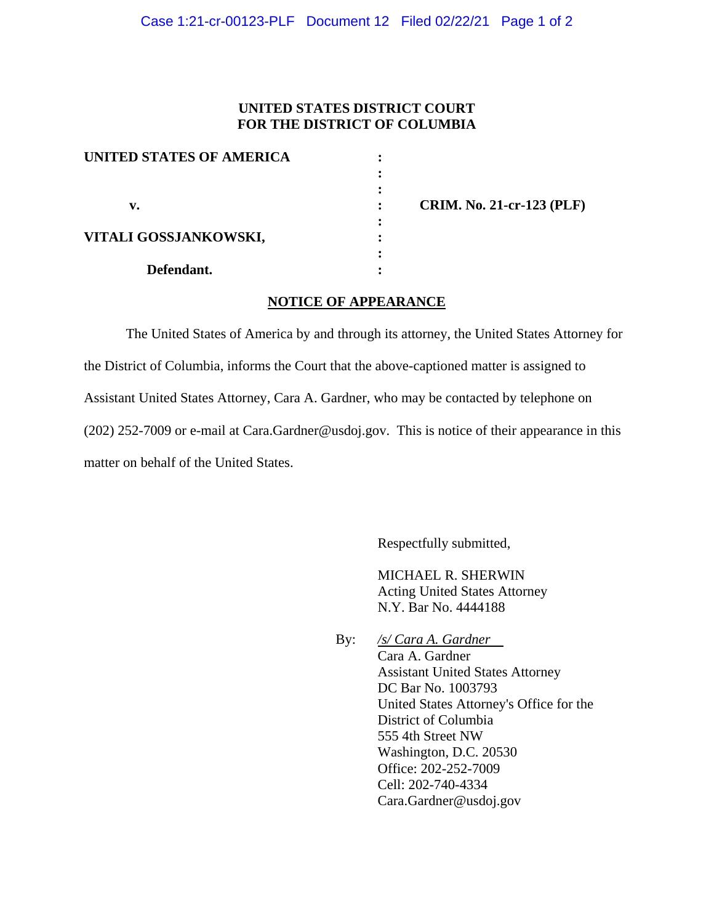## **UNITED STATES DISTRICT COURT FOR THE DISTRICT OF COLUMBIA**

| UNITED STATES OF AMERICA |  |
|--------------------------|--|
|                          |  |
|                          |  |
| v.                       |  |
|                          |  |
| VITALI GOSSJANKOWSKI,    |  |
|                          |  |
| Defendant.               |  |

 **v. : CRIM. No. 21-cr-123 (PLF)**

## **NOTICE OF APPEARANCE**

The United States of America by and through its attorney, the United States Attorney for the District of Columbia, informs the Court that the above-captioned matter is assigned to Assistant United States Attorney, Cara A. Gardner, who may be contacted by telephone on (202) 252-7009 or e-mail at Cara.Gardner@usdoj.gov. This is notice of their appearance in this matter on behalf of the United States.

Respectfully submitted,

MICHAEL R. SHERWIN Acting United States Attorney N.Y. Bar No. 4444188

By: */s/ Cara A. Gardner* Cara A. Gardner Assistant United States Attorney DC Bar No. 1003793 United States Attorney's Office for the District of Columbia 555 4th Street NW Washington, D.C. 20530 Office: 202-252-7009 Cell: 202-740-4334 Cara.Gardner@usdoj.gov